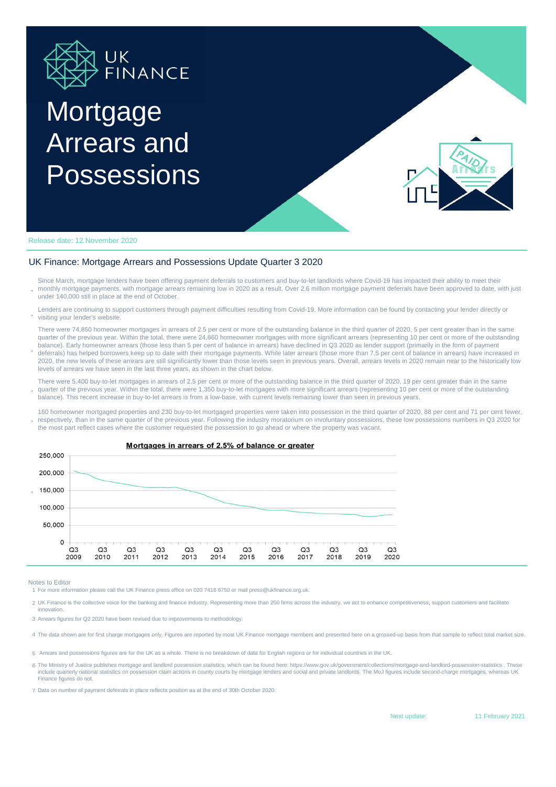

## **Mortgage** Arrears and Possessions



Release date: 12 November 2020

## UK Finance: Mortgage Arrears and Possessions Update Quarter 3 2020

**.** Since March, mortgage lenders have been offering payment deferrals to customers and buy-to-let landlords where Covid-19 has impacted their ability to meet their monthly mortgage payments, with mortgage arrears remaining low in 2020 as a result. Over 2.6 million mortgage payment deferrals have been approved to date, with just under 140,000 still in place at the end of October.

**.** Lenders are continuing to support customers through payment difficulties resulting from Covid-19. More information can be found by contacting your lender directly or visiting your lender's website.

There were 74,850 homeowner mortgages in arrears of 2.5 per cent or more of the outstanding balance in the third quarter of 2020, 5 per cent greater than in the same quarter of the previous year. Within the total, there were 24,860 homeowner mortgages with more significant arrears (representing 10 per cent or more of the outstanding balance). Early homeowner arrears (those less than 5 per cent of balance in arrears) have declined in Q3 2020 as lender support (primarily in the form of payment deferrals) has helped borrowers keep up to date with their mortgage payments. While later arrears (those more than 7.5 per cent of balance in arrears) have increased in

2020, the new levels of these arrears are still significantly lower than those levels seen in previous years. Overall, arrears levels in 2020 remain near to the historically low levels of arrears we have seen in the last three years, as shown in the chart below.

**.** There were 5,400 buy-to-let mortgages in arrears of 2.5 per cent or more of the outstanding balance in the third quarter of 2020, 19 per cent greater than in the same quarter of the previous year. Within the total, there were 1,350 buy-to-let mortgages with more significant arrears (representing 10 per cent or more of the outstanding balance). This recent increase in buy-to-let arrears is from a low-base, with current levels remaining lower than seen in previous years.

**.** 160 homeowner mortgaged properties and 230 buy-to-let mortgaged properties were taken into possession in the third quarter of 2020, 88 per cent and 71 per cent fewer, respectively, than in the same quarter of the previous year. Following the industry moratorium on involuntary possessions, these low possessions numbers in Q3 2020 for the most part reflect cases where the customer requested the possession to go ahead or where the property was vacant.



Mortgages in arrears of 2.5% of balance or greater

Notes to Editor

**.**

1 For more information please call the UK Finance press office on 020 7416 6750 or mail press@ukfinance.org.uk.

2 UK Finance is the collective voice for the banking and finance industry. Representing more than 250 firms across the industry, we act to enhance competitiveness, support customers and facilitate innovation.

3 Arrears figures for Q2 2020 have been revised due to improvements to methodology.

4 The data shown are for first charge mortgages only. Figures are reported by most UK Finance mortgage members and presented here on a grossed-up basis from that sample to reflect total market size.

5 Arrears and possessions figures are for the UK as a whole. There is no breakdown of data for English regions or for individual countries in the UK.

6 The Ministry of Justice publishes mortgage and landlord possession statistics, which can be found here: https://www.gov.uk/government/collections/mortgage-and-landlord-possession-statistics . These include quarterly national statistics on possession claim actions in county courts by mortgage lenders and social and private landlords. The MoJ figures include second-charge mortgages, whereas UK Finance figures do not.

7 Data on number of payment deferrals in place reflects position as at the end of 30th October 2020.

Next update: 11 February 2021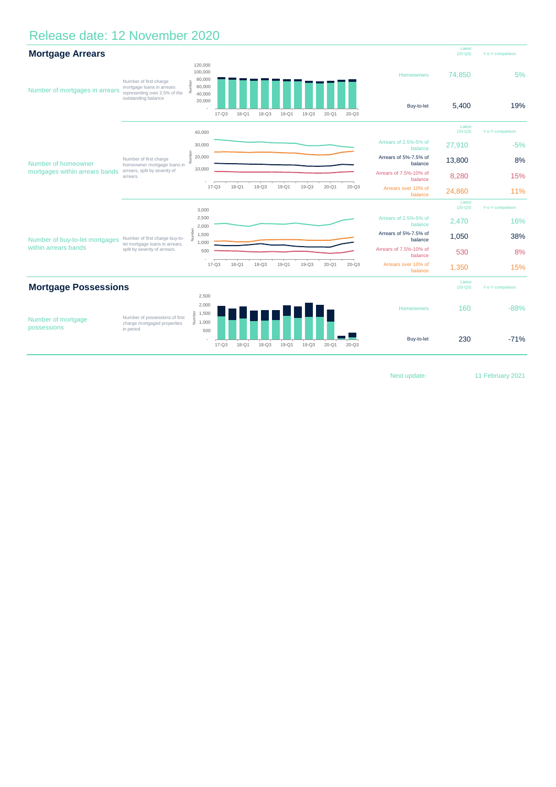## Release date: 12 November 2020



Next update: 11 February 2021